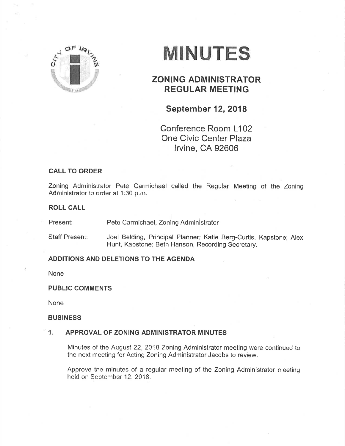

# MINUTES

# **ZONING ADMINISTRATOR** REGULAR MEETING

## September **12**, 2018

Conference Room L102 One Civic Center Plaza lrvine, CA 92606

## CALL TO ORDER

Zoning Administrator Pete Carmichael called the Regular Meeting of the Zoning Administrator to order at 1:30 p.m.

#### ROLL CALL

Present: Pete Carmichael, Zoning Administrator

Staff Present: Joel Belding, Principal Planner; Katie Berg-Curtis, Kapstone; Alex Hunt, Kapstone; Beth Hanson, Recording Secretary.

### ADDITIONS AND DELETIONS TO THE AGENDA

None

PUBLIC GOMMENTS

None

#### **BUSINESS**

#### 1. APPROVAL OF ZONING ADMINISTRATOR MINUTES

Minutes of the August 22, 2018 Zoning Administrator meeting were continued to the next meeting for Acting Zoning Administrator Jacobs to review.

Approve the minutes of a regular meeting of the Zoning Administrator meeting held on September 12, 2018.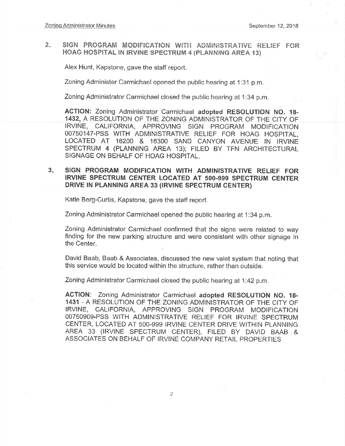#### $2.$ SIGN PROGRAM MODIFICATION WITH ADMINISTRATIVE RELIEF FOR HOAG HOSPITAL IN IRVINE SPECTRUM 4 (PLANNING AREA 13)

Alex Hunt, Kapstone, gave the staff report.

Zoning Administer Carmichael opened the public hearing at 1:31 p.m.

Zoning Administrator Carmichael closed the public hearing at 1:34 p.m.

ACTION: Zoning Administrator Carmichael adopted RESOLUTION NO. 18-1432, A RESOLUTION OF THE ZONING ADMINISTRATOR OF THE CITY OF IRVINE, CALIFORNIA, APPROVING SIGN PROGRAM MODIFICATION 00750147-PSS WITH ADMINISTRATIVE RELIEF FOR HOAG HOSPITAL, LOCATED AT 16200 & 16300 SAND CANYON AVENUE IN IRVINE SPECTRUM 4 (PLANNING AREA 13); FILED BY TFN ARCHITECTURAL SIGNAGE ON BEHALF OF HOAG HOSPITAL.

#### $3<sub>n</sub>$ SIGN PROGRAM MODIFICATION WITH ADMINISTRATIVE RELIEF FOR IRVINE SPECTRUM CENTER LOCATED AT 500-999 SPECTRUM CENTER DRIVE IN PLANNING AREA 33 (IRVINE SPECTRUM CENTER)

Katie Berg-Curtis, Kapstone, gave the staff report.

Zoning Administrator Carmichael opened the public hearing at 1:34 p.m.

Zoning Administrator Carmichael confirmed that the signs were related to way finding for the new parking structure and were consistent with other signage in the Center.

David Baab, Baab & Associates, discussed the new valet system that noting that this service would be located within the structure, rather than outside.

Zoning Administrator Carmichael closed the public hearing at 1:42 p.m.

ACTION: Zoning Administrator Carmichael adopted RESOLUTION NO. 18-1431 - A RESOLUTION OF THE ZONING ADMINISTRATOR OF THE CITY OF CALIFORNIA, APPROVING SIGN PROGRAM MODIFICATION **IRVINE.** 00750909-PSS WITH ADMINISTRATIVE RELIEF FOR IRVINE SPECTRUM CENTER, LOCATED AT 500-999 IRVINE CENTER DRIVE WITHIN PLANNING AREA 33 (IRVINE SPECTRUM CENTER), FILED BY DAVID BAAB & ASSOCIATES ON BEHALF OF IRVINE COMPANY RETAIL PROPERTIES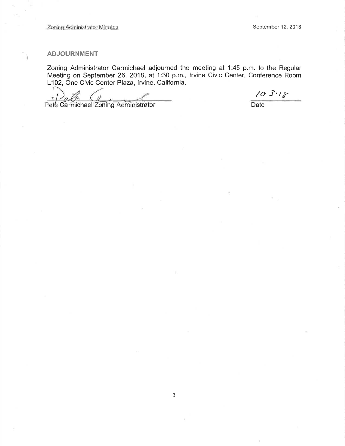#### **ADJOURNMENT**

Ĵ.

Zoning Administrator Carmichael adjourned the meeting at 1:45 p.m. to the Regular Meeting on September 26, 2018, at 1:30 p.m., Irvine Civic Center, Conference Room L102, One Civic Center Plaza, Irvine, California.

 $103.18$ 

Pete Carmichael Zoning Administrator

Date